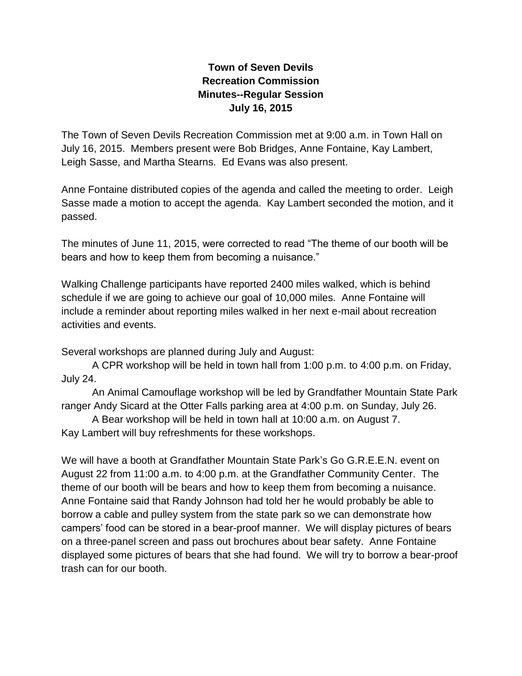## **Town of Seven Devils Recreation Commission Minutes--Regular Session July 16, 2015**

The Town of Seven Devils Recreation Commission met at 9:00 a.m. in Town Hall on July 16, 2015. Members present were Bob Bridges, Anne Fontaine, Kay Lambert, Leigh Sasse, and Martha Stearns. Ed Evans was also present.

Anne Fontaine distributed copies of the agenda and called the meeting to order. Leigh Sasse made a motion to accept the agenda. Kay Lambert seconded the motion, and it passed.

The minutes of June 11, 2015, were corrected to read "The theme of our booth will be bears and how to keep them from becoming a nuisance."

Walking Challenge participants have reported 2400 miles walked, which is behind schedule if we are going to achieve our goal of 10,000 miles. Anne Fontaine will include a reminder about reporting miles walked in her next e-mail about recreation activities and events.

Several workshops are planned during July and August:

A CPR workshop will be held in town hall from 1:00 p.m. to 4:00 p.m. on Friday, July 24.

An Animal Camouflage workshop will be led by Grandfather Mountain State Park ranger Andy Sicard at the Otter Falls parking area at 4:00 p.m. on Sunday, July 26.

A Bear workshop will be held in town hall at 10:00 a.m. on August 7.

Kay Lambert will buy refreshments for these workshops.

We will have a booth at Grandfather Mountain State Park's Go G.R.E.E.N. event on August 22 from 11:00 a.m. to 4:00 p.m. at the Grandfather Community Center. The theme of our booth will be bears and how to keep them from becoming a nuisance. Anne Fontaine said that Randy Johnson had told her he would probably be able to borrow a cable and pulley system from the state park so we can demonstrate how campers' food can be stored in a bear-proof manner. We will display pictures of bears on a three-panel screen and pass out brochures about bear safety. Anne Fontaine displayed some pictures of bears that she had found. We will try to borrow a bear-proof trash can for our booth.